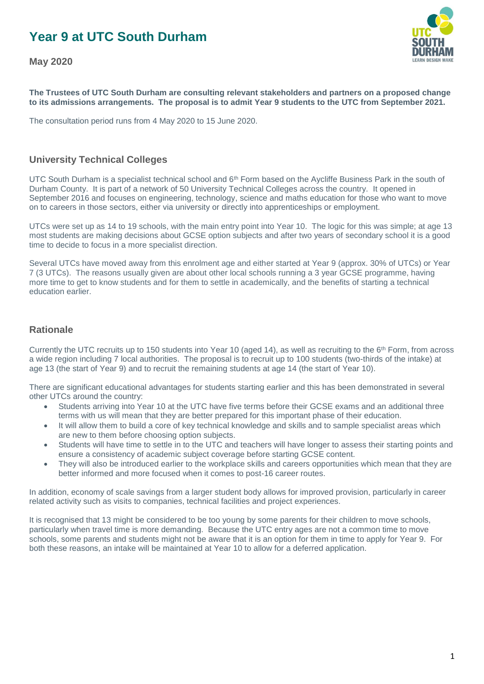# **Year 9 at UTC South Durham**

**May 2020**



**The Trustees of UTC South Durham are consulting relevant stakeholders and partners on a proposed change to its admissions arrangements. The proposal is to admit Year 9 students to the UTC from September 2021.**

The consultation period runs from 4 May 2020 to 15 June 2020.

### **University Technical Colleges**

UTC South Durham is a specialist technical school and  $6<sup>th</sup>$  Form based on the Aycliffe Business Park in the south of Durham County. It is part of a network of 50 University Technical Colleges across the country. It opened in September 2016 and focuses on engineering, technology, science and maths education for those who want to move on to careers in those sectors, either via university or directly into apprenticeships or employment.

UTCs were set up as 14 to 19 schools, with the main entry point into Year 10. The logic for this was simple; at age 13 most students are making decisions about GCSE option subjects and after two years of secondary school it is a good time to decide to focus in a more specialist direction.

Several UTCs have moved away from this enrolment age and either started at Year 9 (approx. 30% of UTCs) or Year 7 (3 UTCs). The reasons usually given are about other local schools running a 3 year GCSE programme, having more time to get to know students and for them to settle in academically, and the benefits of starting a technical education earlier.

#### **Rationale**

Currently the UTC recruits up to 150 students into Year 10 (aged 14), as well as recruiting to the 6th Form, from across a wide region including 7 local authorities. The proposal is to recruit up to 100 students (two-thirds of the intake) at age 13 (the start of Year 9) and to recruit the remaining students at age 14 (the start of Year 10).

There are significant educational advantages for students starting earlier and this has been demonstrated in several other UTCs around the country:

- Students arriving into Year 10 at the UTC have five terms before their GCSE exams and an additional three terms with us will mean that they are better prepared for this important phase of their education.
- It will allow them to build a core of key technical knowledge and skills and to sample specialist areas which are new to them before choosing option subjects.
- Students will have time to settle in to the UTC and teachers will have longer to assess their starting points and ensure a consistency of academic subject coverage before starting GCSE content.
- They will also be introduced earlier to the workplace skills and careers opportunities which mean that they are better informed and more focused when it comes to post-16 career routes.

In addition, economy of scale savings from a larger student body allows for improved provision, particularly in career related activity such as visits to companies, technical facilities and project experiences.

It is recognised that 13 might be considered to be too young by some parents for their children to move schools, particularly when travel time is more demanding. Because the UTC entry ages are not a common time to move schools, some parents and students might not be aware that it is an option for them in time to apply for Year 9. For both these reasons, an intake will be maintained at Year 10 to allow for a deferred application.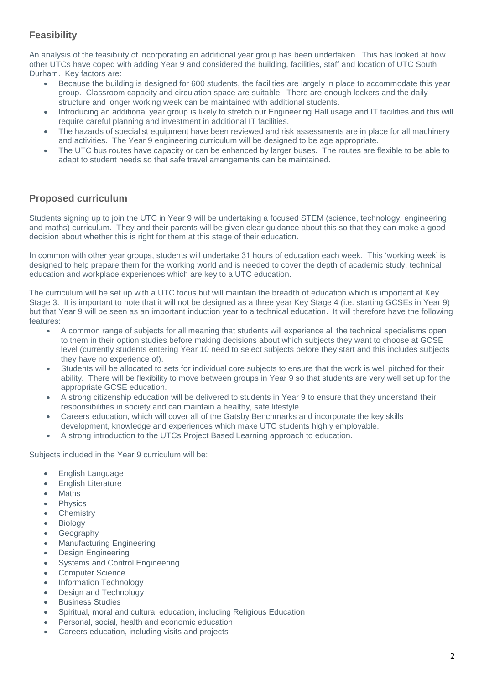## **Feasibility**

An analysis of the feasibility of incorporating an additional year group has been undertaken. This has looked at how other UTCs have coped with adding Year 9 and considered the building, facilities, staff and location of UTC South Durham. Key factors are:

- Because the building is designed for 600 students, the facilities are largely in place to accommodate this year group. Classroom capacity and circulation space are suitable. There are enough lockers and the daily structure and longer working week can be maintained with additional students.
- Introducing an additional year group is likely to stretch our Engineering Hall usage and IT facilities and this will require careful planning and investment in additional IT facilities.
- The hazards of specialist equipment have been reviewed and risk assessments are in place for all machinery and activities. The Year 9 engineering curriculum will be designed to be age appropriate.
- The UTC bus routes have capacity or can be enhanced by larger buses. The routes are flexible to be able to adapt to student needs so that safe travel arrangements can be maintained.

## **Proposed curriculum**

Students signing up to join the UTC in Year 9 will be undertaking a focused STEM (science, technology, engineering and maths) curriculum. They and their parents will be given clear guidance about this so that they can make a good decision about whether this is right for them at this stage of their education.

In common with other year groups, students will undertake 31 hours of education each week. This 'working week' is designed to help prepare them for the working world and is needed to cover the depth of academic study, technical education and workplace experiences which are key to a UTC education.

The curriculum will be set up with a UTC focus but will maintain the breadth of education which is important at Key Stage 3. It is important to note that it will not be designed as a three year Key Stage 4 (i.e. starting GCSEs in Year 9) but that Year 9 will be seen as an important induction year to a technical education. It will therefore have the following features:

- A common range of subjects for all meaning that students will experience all the technical specialisms open to them in their option studies before making decisions about which subjects they want to choose at GCSE level (currently students entering Year 10 need to select subjects before they start and this includes subjects they have no experience of).
- Students will be allocated to sets for individual core subjects to ensure that the work is well pitched for their ability. There will be flexibility to move between groups in Year 9 so that students are very well set up for the appropriate GCSE education.
- A strong citizenship education will be delivered to students in Year 9 to ensure that they understand their responsibilities in society and can maintain a healthy, safe lifestyle.
- Careers education, which will cover all of the Gatsby Benchmarks and incorporate the key skills development, knowledge and experiences which make UTC students highly employable.
- A strong introduction to the UTCs Project Based Learning approach to education.

Subjects included in the Year 9 curriculum will be:

- English Language
- English Literature
- Maths
- Physics
- **Chemistry**
- Biology
- Geography
- Manufacturing Engineering
- Design Engineering
- Systems and Control Engineering
- Computer Science
- Information Technology
- Design and Technology
- Business Studies
- Spiritual, moral and cultural education, including Religious Education
- Personal, social, health and economic education
- Careers education, including visits and projects